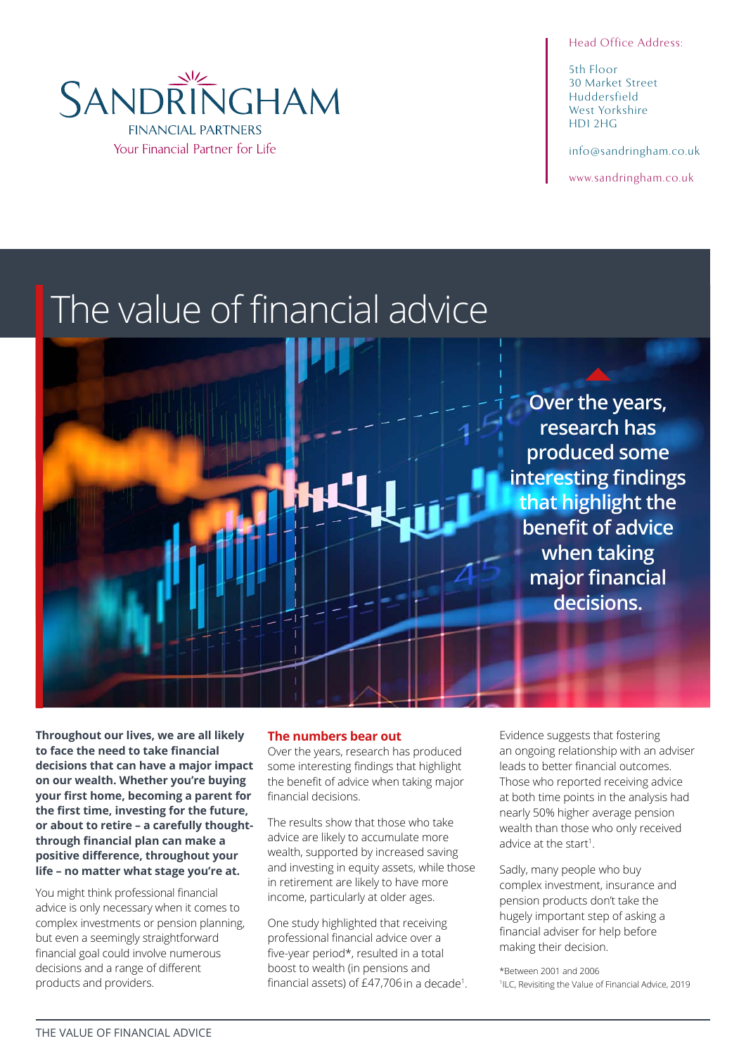### Head Office Address:

5th Floor 30 Market Street Huddersfield West Yorkshire HD1 2HG

info@sandringham.co.uk

www.sandringham.co.uk



# The value of financial advice

**Over the years, research has produced some interesting findings that highlight the benefit of advice when taking major financial decisions.**

**Throughout our lives, we are all likely to face the need to take financial decisions that can have a major impact on our wealth. Whether you're buying your first home, becoming a parent for the first time, investing for the future, or about to retire – a carefully thoughtthrough financial plan can make a positive difference, throughout your life – no matter what stage you're at.**

You might think professional financial advice is only necessary when it comes to complex investments or pension planning, but even a seemingly straightforward financial goal could involve numerous decisions and a range of different products and providers.

### **The numbers bear out**

Over the years, research has produced some interesting findings that highlight the benefit of advice when taking major financial decisions.

The results show that those who take advice are likely to accumulate more wealth, supported by increased saving and investing in equity assets, while those in retirement are likely to have more income, particularly at older ages.

One study highlighted that receiving professional financial advice over a five-year period\*, resulted in a total boost to wealth (in pensions and financial assets) of £47,706in a decade<sup>1</sup> .

Evidence suggests that fostering an ongoing relationship with an adviser leads to better financial outcomes. Those who reported receiving advice at both time points in the analysis had nearly 50% higher average pension wealth than those who only received advice at the start<sup>1</sup>.

Sadly, many people who buy complex investment, insurance and pension products don't take the hugely important step of asking a financial adviser for help before making their decision.

\*Between 2001 and 2006 1 ILC, Revisiting the Value of Financial Advice, 2019